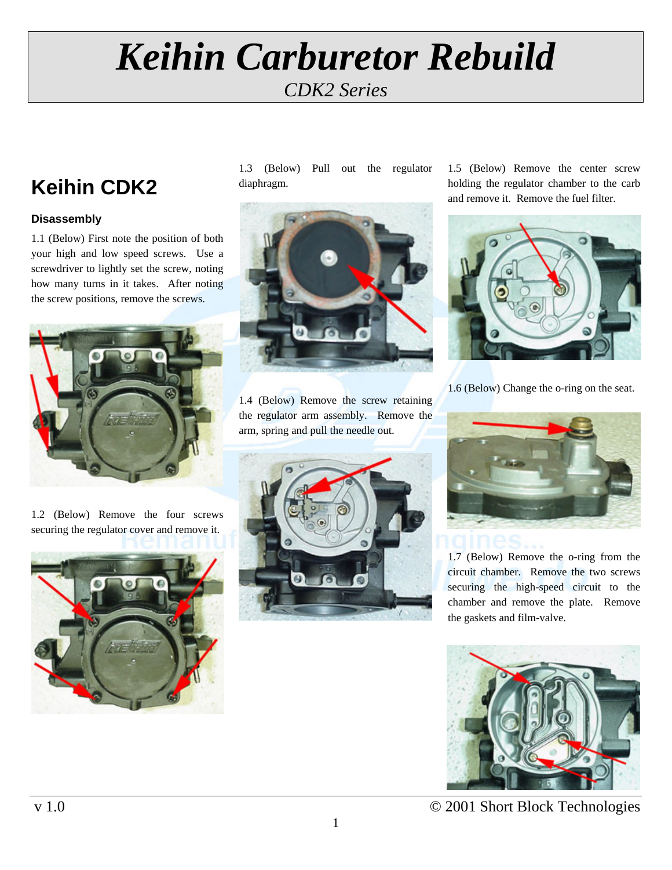## *Keihin Carburetor Rebuild CDK2 Series*

### **Keihin CDK2**

#### **Disassembly**

1.1 (Below) First note the position of both your high and low speed screws. Use a screwdriver to lightly set the screw, noting how many turns in it takes. After noting the screw positions, remove the screws.



1.2 (Below) Remove the four screws securing the regulator cover and remove it.



1.3 (Below) Pull out the regulator diaphragm.



1.4 (Below) Remove the screw retaining the regulator arm assembly. Remove the arm, spring and pull the needle out.



1.5 (Below) Remove the center screw holding the regulator chamber to the carb and remove it. Remove the fuel filter.



1.6 (Below) Change the o-ring on the seat.



1.7 (Below) Remove the o-ring from the circuit chamber. Remove the two screws securing the high-speed circuit to the chamber and remove the plate. Remove the gaskets and film-valve.



v 1.0 © 2001 Short Block Technologies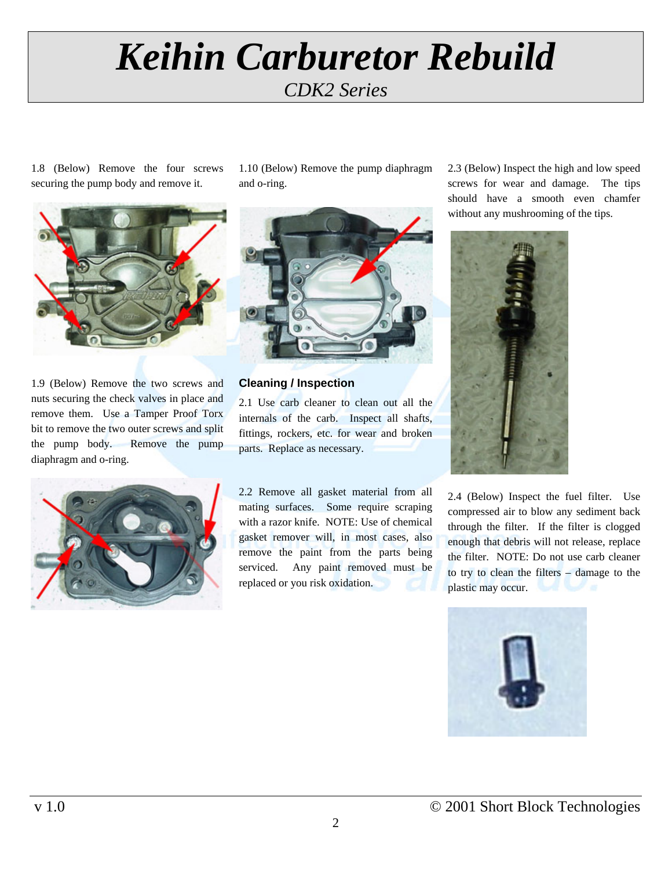# *Keihin Carburetor Rebuild CDK2 Series*

1.8 (Below) Remove the four screws securing the pump body and remove it.



1.9 (Below) Remove the two screws and nuts securing the check valves in place and remove them. Use a Tamper Proof Torx bit to remove the two outer screws and split the pump body. Remove the pump diaphragm and o-ring.



1.10 (Below) Remove the pump diaphragm and o-ring.



**Cleaning / Inspection** 

2.1 Use carb cleaner to clean out all the internals of the carb. Inspect all shafts, fittings, rockers, etc. for wear and broken parts. Replace as necessary.

2.2 Remove all gasket material from all mating surfaces. Some require scraping with a razor knife. NOTE: Use of chemical gasket remover will, in most cases, also remove the paint from the parts being serviced. Any paint removed must be replaced or you risk oxidation.

2.3 (Below) Inspect the high and low speed screws for wear and damage. The tips should have a smooth even chamfer without any mushrooming of the tips.



2.4 (Below) Inspect the fuel filter. Use compressed air to blow any sediment back through the filter. If the filter is clogged enough that debris will not release, replace the filter. NOTE: Do not use carb cleaner to try to clean the filters – damage to the plastic may occur.